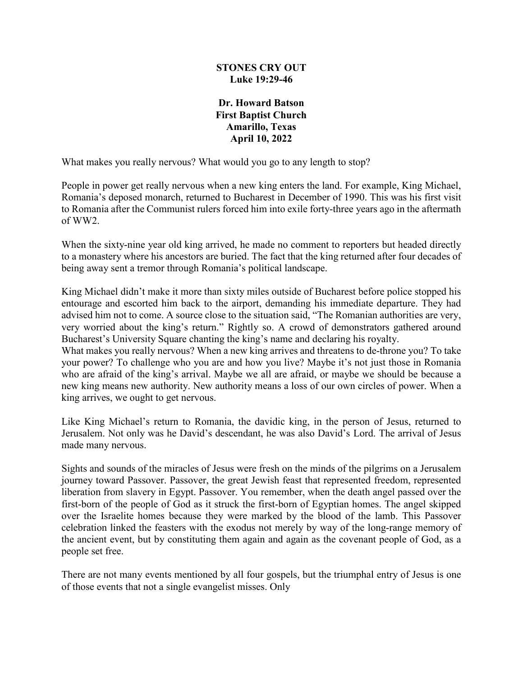## **STONES CRY OUT Luke 19:29-46**

## **Dr. Howard Batson First Baptist Church Amarillo, Texas April 10, 2022**

What makes you really nervous? What would you go to any length to stop?

People in power get really nervous when a new king enters the land. For example, King Michael, Romania's deposed monarch, returned to Bucharest in December of 1990. This was his first visit to Romania after the Communist rulers forced him into exile forty-three years ago in the aftermath of WW2.

When the sixty-nine year old king arrived, he made no comment to reporters but headed directly to a monastery where his ancestors are buried. The fact that the king returned after four decades of being away sent a tremor through Romania's political landscape.

King Michael didn't make it more than sixty miles outside of Bucharest before police stopped his entourage and escorted him back to the airport, demanding his immediate departure. They had advised him not to come. A source close to the situation said, "The Romanian authorities are very, very worried about the king's return." Rightly so. A crowd of demonstrators gathered around Bucharest's University Square chanting the king's name and declaring his royalty.

What makes you really nervous? When a new king arrives and threatens to de-throne you? To take your power? To challenge who you are and how you live? Maybe it's not just those in Romania who are afraid of the king's arrival. Maybe we all are afraid, or maybe we should be because a new king means new authority. New authority means a loss of our own circles of power. When a king arrives, we ought to get nervous.

Like King Michael's return to Romania, the davidic king, in the person of Jesus, returned to Jerusalem. Not only was he David's descendant, he was also David's Lord. The arrival of Jesus made many nervous.

Sights and sounds of the miracles of Jesus were fresh on the minds of the pilgrims on a Jerusalem journey toward Passover. Passover, the great Jewish feast that represented freedom, represented liberation from slavery in Egypt. Passover. You remember, when the death angel passed over the first-born of the people of God as it struck the first-born of Egyptian homes. The angel skipped over the Israelite homes because they were marked by the blood of the lamb. This Passover celebration linked the feasters with the exodus not merely by way of the long-range memory of the ancient event, but by constituting them again and again as the covenant people of God, as a people set free.

There are not many events mentioned by all four gospels, but the triumphal entry of Jesus is one of those events that not a single evangelist misses. Only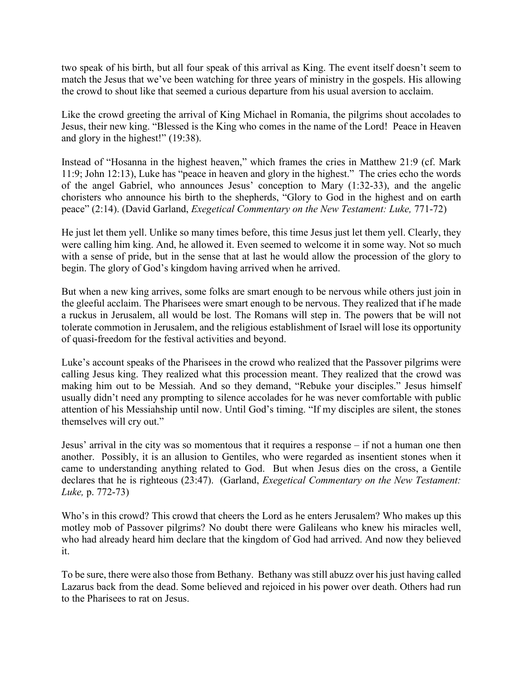two speak of his birth, but all four speak of this arrival as King. The event itself doesn't seem to match the Jesus that we've been watching for three years of ministry in the gospels. His allowing the crowd to shout like that seemed a curious departure from his usual aversion to acclaim.

Like the crowd greeting the arrival of King Michael in Romania, the pilgrims shout accolades to Jesus, their new king. "Blessed is the King who comes in the name of the Lord! Peace in Heaven and glory in the highest!" (19:38).

Instead of "Hosanna in the highest heaven," which frames the cries in Matthew 21:9 (cf. Mark 11:9; John 12:13), Luke has "peace in heaven and glory in the highest." The cries echo the words of the angel Gabriel, who announces Jesus' conception to Mary (1:32-33), and the angelic choristers who announce his birth to the shepherds, "Glory to God in the highest and on earth peace" (2:14). (David Garland, *Exegetical Commentary on the New Testament: Luke,* 771-72)

He just let them yell. Unlike so many times before, this time Jesus just let them yell. Clearly, they were calling him king. And, he allowed it. Even seemed to welcome it in some way. Not so much with a sense of pride, but in the sense that at last he would allow the procession of the glory to begin. The glory of God's kingdom having arrived when he arrived.

But when a new king arrives, some folks are smart enough to be nervous while others just join in the gleeful acclaim. The Pharisees were smart enough to be nervous. They realized that if he made a ruckus in Jerusalem, all would be lost. The Romans will step in. The powers that be will not tolerate commotion in Jerusalem, and the religious establishment of Israel will lose its opportunity of quasi-freedom for the festival activities and beyond.

Luke's account speaks of the Pharisees in the crowd who realized that the Passover pilgrims were calling Jesus king. They realized what this procession meant. They realized that the crowd was making him out to be Messiah. And so they demand, "Rebuke your disciples." Jesus himself usually didn't need any prompting to silence accolades for he was never comfortable with public attention of his Messiahship until now. Until God's timing. "If my disciples are silent, the stones themselves will cry out."

Jesus' arrival in the city was so momentous that it requires a response – if not a human one then another. Possibly, it is an allusion to Gentiles, who were regarded as insentient stones when it came to understanding anything related to God. But when Jesus dies on the cross, a Gentile declares that he is righteous (23:47). (Garland, *Exegetical Commentary on the New Testament: Luke,* p. 772-73)

Who's in this crowd? This crowd that cheers the Lord as he enters Jerusalem? Who makes up this motley mob of Passover pilgrims? No doubt there were Galileans who knew his miracles well, who had already heard him declare that the kingdom of God had arrived. And now they believed it.

To be sure, there were also those from Bethany. Bethany was still abuzz over his just having called Lazarus back from the dead. Some believed and rejoiced in his power over death. Others had run to the Pharisees to rat on Jesus.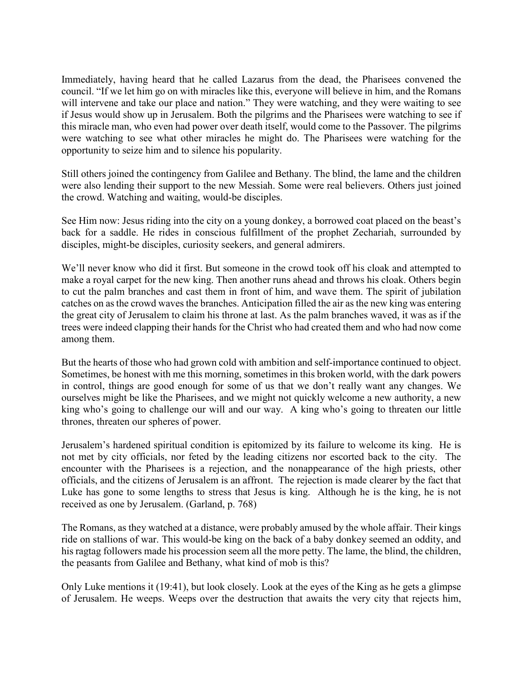Immediately, having heard that he called Lazarus from the dead, the Pharisees convened the council. "If we let him go on with miracles like this, everyone will believe in him, and the Romans will intervene and take our place and nation." They were watching, and they were waiting to see if Jesus would show up in Jerusalem. Both the pilgrims and the Pharisees were watching to see if this miracle man, who even had power over death itself, would come to the Passover. The pilgrims were watching to see what other miracles he might do. The Pharisees were watching for the opportunity to seize him and to silence his popularity.

Still others joined the contingency from Galilee and Bethany. The blind, the lame and the children were also lending their support to the new Messiah. Some were real believers. Others just joined the crowd. Watching and waiting, would-be disciples.

See Him now: Jesus riding into the city on a young donkey, a borrowed coat placed on the beast's back for a saddle. He rides in conscious fulfillment of the prophet Zechariah, surrounded by disciples, might-be disciples, curiosity seekers, and general admirers.

We'll never know who did it first. But someone in the crowd took off his cloak and attempted to make a royal carpet for the new king. Then another runs ahead and throws his cloak. Others begin to cut the palm branches and cast them in front of him, and wave them. The spirit of jubilation catches on as the crowd waves the branches. Anticipation filled the air as the new king was entering the great city of Jerusalem to claim his throne at last. As the palm branches waved, it was as if the trees were indeed clapping their hands for the Christ who had created them and who had now come among them.

But the hearts of those who had grown cold with ambition and self-importance continued to object. Sometimes, be honest with me this morning, sometimes in this broken world, with the dark powers in control, things are good enough for some of us that we don't really want any changes. We ourselves might be like the Pharisees, and we might not quickly welcome a new authority, a new king who's going to challenge our will and our way. A king who's going to threaten our little thrones, threaten our spheres of power.

Jerusalem's hardened spiritual condition is epitomized by its failure to welcome its king. He is not met by city officials, nor feted by the leading citizens nor escorted back to the city. The encounter with the Pharisees is a rejection, and the nonappearance of the high priests, other officials, and the citizens of Jerusalem is an affront. The rejection is made clearer by the fact that Luke has gone to some lengths to stress that Jesus is king. Although he is the king, he is not received as one by Jerusalem. (Garland, p. 768)

The Romans, as they watched at a distance, were probably amused by the whole affair. Their kings ride on stallions of war. This would-be king on the back of a baby donkey seemed an oddity, and his ragtag followers made his procession seem all the more petty. The lame, the blind, the children, the peasants from Galilee and Bethany, what kind of mob is this?

Only Luke mentions it (19:41), but look closely. Look at the eyes of the King as he gets a glimpse of Jerusalem. He weeps. Weeps over the destruction that awaits the very city that rejects him,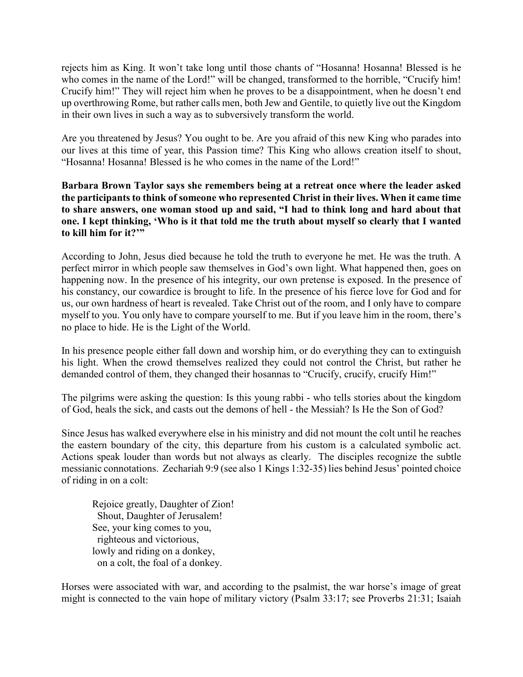rejects him as King. It won't take long until those chants of "Hosanna! Hosanna! Blessed is he who comes in the name of the Lord!" will be changed, transformed to the horrible, "Crucify him! Crucify him!" They will reject him when he proves to be a disappointment, when he doesn't end up overthrowing Rome, but rather calls men, both Jew and Gentile, to quietly live out the Kingdom in their own lives in such a way as to subversively transform the world.

Are you threatened by Jesus? You ought to be. Are you afraid of this new King who parades into our lives at this time of year, this Passion time? This King who allows creation itself to shout, "Hosanna! Hosanna! Blessed is he who comes in the name of the Lord!"

## **Barbara Brown Taylor says she remembers being at a retreat once where the leader asked the participants to think of someone who represented Christ in their lives. When it came time to share answers, one woman stood up and said, "I had to think long and hard about that one. I kept thinking, 'Who is it that told me the truth about myself so clearly that I wanted to kill him for it?'"**

According to John, Jesus died because he told the truth to everyone he met. He was the truth. A perfect mirror in which people saw themselves in God's own light. What happened then, goes on happening now. In the presence of his integrity, our own pretense is exposed. In the presence of his constancy, our cowardice is brought to life. In the presence of his fierce love for God and for us, our own hardness of heart is revealed. Take Christ out of the room, and I only have to compare myself to you. You only have to compare yourself to me. But if you leave him in the room, there's no place to hide. He is the Light of the World.

In his presence people either fall down and worship him, or do everything they can to extinguish his light. When the crowd themselves realized they could not control the Christ, but rather he demanded control of them, they changed their hosannas to "Crucify, crucify, crucify Him!"

The pilgrims were asking the question: Is this young rabbi - who tells stories about the kingdom of God, heals the sick, and casts out the demons of hell - the Messiah? Is He the Son of God?

Since Jesus has walked everywhere else in his ministry and did not mount the colt until he reaches the eastern boundary of the city, this departure from his custom is a calculated symbolic act. Actions speak louder than words but not always as clearly. The disciples recognize the subtle messianic connotations. Zechariah 9:9 (see also 1 Kings 1:32-35) lies behind Jesus' pointed choice of riding in on a colt:

Rejoice greatly, Daughter of Zion! Shout, Daughter of Jerusalem! See, your king comes to you, righteous and victorious, lowly and riding on a donkey, on a colt, the foal of a donkey.

Horses were associated with war, and according to the psalmist, the war horse's image of great might is connected to the vain hope of military victory (Psalm 33:17; see Proverbs 21:31; Isaiah